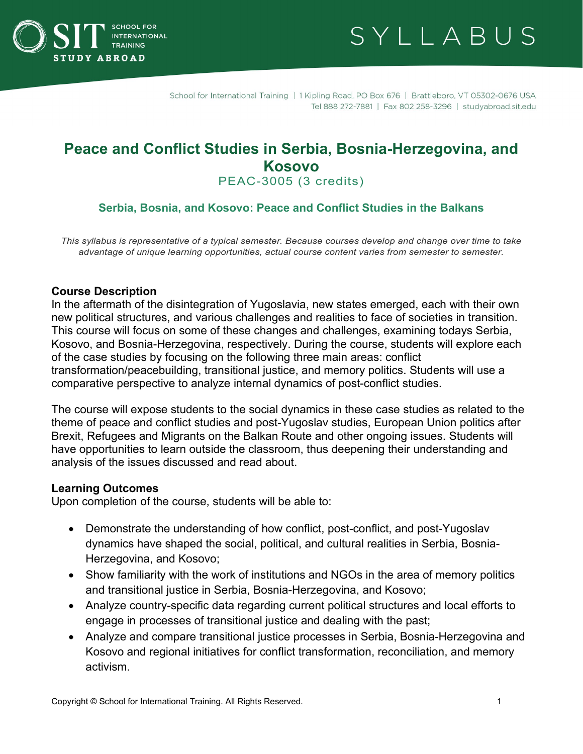



School for International Training | 1 Kipling Road, PO Box 676 | Brattleboro, VT 05302-0676 USA Tel 888 272-7881 | Fax 802 258-3296 | studyabroad.sit.edu

# **Peace and Conflict Studies in Serbia, Bosnia-Herzegovina, and Kosovo**

PEAC-3005 (3 credits)

# **Serbia, Bosnia, and Kosovo: Peace and Conflict Studies in the Balkans**

*This syllabus is representative of a typical semester. Because courses develop and change over time to take advantage of unique learning opportunities, actual course content varies from semester to semester.*

#### **Course Description**

In the aftermath of the disintegration of Yugoslavia, new states emerged, each with their own new political structures, and various challenges and realities to face of societies in transition. This course will focus on some of these changes and challenges, examining todays Serbia, Kosovo, and Bosnia-Herzegovina, respectively. During the course, students will explore each of the case studies by focusing on the following three main areas: conflict transformation/peacebuilding, transitional justice, and memory politics. Students will use a comparative perspective to analyze internal dynamics of post-conflict studies.

The course will expose students to the social dynamics in these case studies as related to the theme of peace and conflict studies and post-Yugoslav studies, European Union politics after Brexit, Refugees and Migrants on the Balkan Route and other ongoing issues. Students will have opportunities to learn outside the classroom, thus deepening their understanding and analysis of the issues discussed and read about.

#### **Learning Outcomes**

Upon completion of the course, students will be able to:

- Demonstrate the understanding of how conflict, post-conflict, and post-Yugoslav dynamics have shaped the social, political, and cultural realities in Serbia, Bosnia-Herzegovina, and Kosovo;
- Show familiarity with the work of institutions and NGOs in the area of memory politics and transitional justice in Serbia, Bosnia-Herzegovina, and Kosovo;
- Analyze country-specific data regarding current political structures and local efforts to engage in processes of transitional justice and dealing with the past;
- Analyze and compare transitional justice processes in Serbia, Bosnia-Herzegovina and Kosovo and regional initiatives for conflict transformation, reconciliation, and memory activism.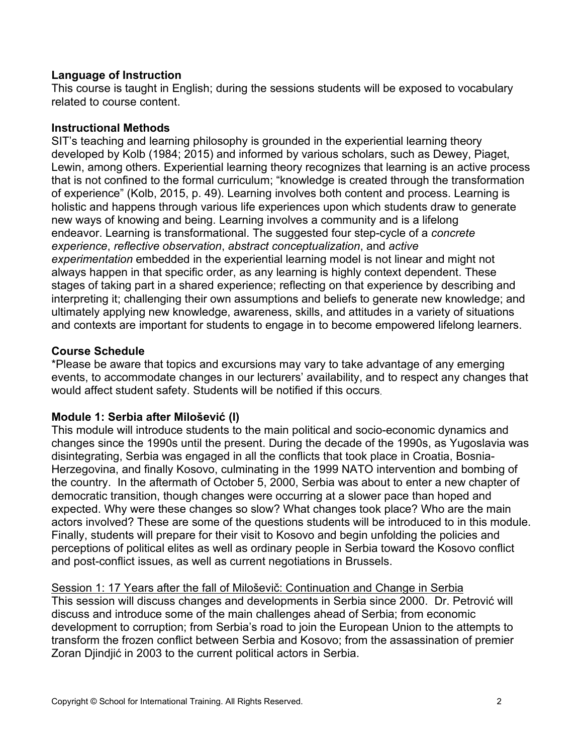# **Language of Instruction**

This course is taught in English; during the sessions students will be exposed to vocabulary related to course content.

# **Instructional Methods**

SIT's teaching and learning philosophy is grounded in the experiential learning theory developed by Kolb (1984; 2015) and informed by various scholars, such as Dewey, Piaget, Lewin, among others. Experiential learning theory recognizes that learning is an active process that is not confined to the formal curriculum; "knowledge is created through the transformation of experience" (Kolb, 2015, p. 49). Learning involves both content and process. Learning is holistic and happens through various life experiences upon which students draw to generate new ways of knowing and being. Learning involves a community and is a lifelong endeavor. Learning is transformational. The suggested four step-cycle of a *concrete experience*, *reflective observation*, *abstract conceptualization*, and *active experimentation* embedded in the experiential learning model is not linear and might not always happen in that specific order, as any learning is highly context dependent. These stages of taking part in a shared experience; reflecting on that experience by describing and interpreting it; challenging their own assumptions and beliefs to generate new knowledge; and ultimately applying new knowledge, awareness, skills, and attitudes in a variety of situations and contexts are important for students to engage in to become empowered lifelong learners.

# **Course Schedule**

\*Please be aware that topics and excursions may vary to take advantage of any emerging events, to accommodate changes in our lecturers' availability, and to respect any changes that would affect student safety. Students will be notified if this occurs.

# **Module 1: Serbia after Milošević (I)**

This module will introduce students to the main political and socio-economic dynamics and changes since the 1990s until the present. During the decade of the 1990s, as Yugoslavia was disintegrating, Serbia was engaged in all the conflicts that took place in Croatia, Bosnia-Herzegovina, and finally Kosovo, culminating in the 1999 NATO intervention and bombing of the country. In the aftermath of October 5, 2000, Serbia was about to enter a new chapter of democratic transition, though changes were occurring at a slower pace than hoped and expected. Why were these changes so slow? What changes took place? Who are the main actors involved? These are some of the questions students will be introduced to in this module. Finally, students will prepare for their visit to Kosovo and begin unfolding the policies and perceptions of political elites as well as ordinary people in Serbia toward the Kosovo conflict and post-conflict issues, as well as current negotiations in Brussels.

Session 1: 17 Years after the fall of Miloševič: Continuation and Change in Serbia

This session will discuss changes and developments in Serbia since 2000. Dr. Petrović will discuss and introduce some of the main challenges ahead of Serbia; from economic development to corruption; from Serbia's road to join the European Union to the attempts to transform the frozen conflict between Serbia and Kosovo; from the assassination of premier Zoran Djindjić in 2003 to the current political actors in Serbia.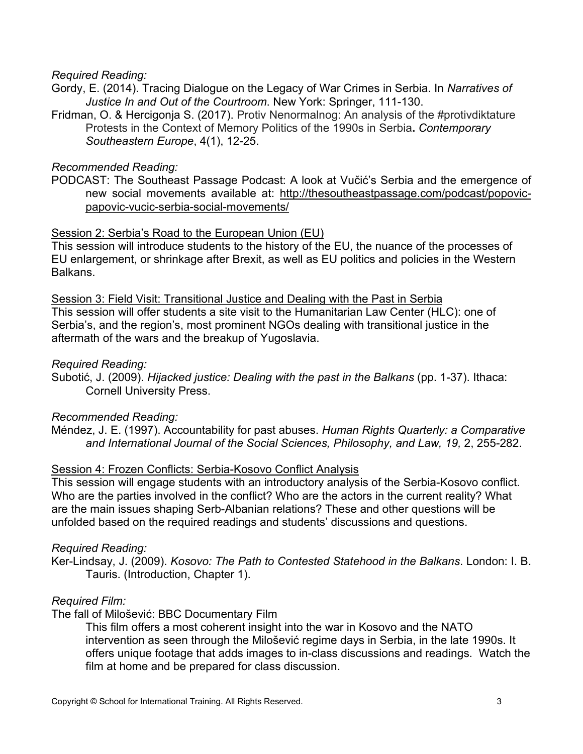#### *Required Reading:*

- Gordy, E. (2014). Tracing Dialogue on the Legacy of War Crimes in Serbia. In *Narratives of Justice In and Out of the Courtroom*. New York: Springer, 111-130.
- Fridman, O. & Hercigonja S. (2017). Protiv Nenormalnog: An analysis of the #protivdiktature Protests in the Context of Memory Politics of the 1990s in Serbia**.** *Contemporary Southeastern Europe*, 4(1), 12-25.

#### *Recommended Reading:*

PODCAST: The Southeast Passage Podcast: A look at Vučić's Serbia and the emergence of new social movements available at: [http://thesoutheastpassage.com/podcast/popovic](http://thesoutheastpassage.com/podcast/popovic-papovic-vucic-serbia-social-movements/)[papovic-vucic-serbia-social-movements/](http://thesoutheastpassage.com/podcast/popovic-papovic-vucic-serbia-social-movements/)

#### Session 2: Serbia's Road to the European Union (EU)

This session will introduce students to the history of the EU, the nuance of the processes of EU enlargement, or shrinkage after Brexit, as well as EU politics and policies in the Western Balkans.

Session 3: Field Visit: Transitional Justice and Dealing with the Past in Serbia This session will offer students a site visit to the Humanitarian Law Center (HLC): one of Serbia's, and the region's, most prominent NGOs dealing with transitional justice in the aftermath of the wars and the breakup of Yugoslavia.

#### *Required Reading:*

Subotić, J. (2009). *Hijacked justice: Dealing with the past in the Balkans* (pp. 1-37). Ithaca: Cornell University Press.

# *Recommended Reading:*

Méndez, J. E. (1997). Accountability for past abuses. *Human Rights Quarterly: a Comparative*  and International Journal of the Social Sciences, Philosophy, and Law, 19, 2, 255-282.

#### Session 4: Frozen Conflicts: Serbia-Kosovo Conflict Analysis

This session will engage students with an introductory analysis of the Serbia-Kosovo conflict. Who are the parties involved in the conflict? Who are the actors in the current reality? What are the main issues shaping Serb-Albanian relations? These and other questions will be unfolded based on the required readings and students' discussions and questions.

#### *Required Reading:*

Ker-Lindsay, J. (2009). *Kosovo: The Path to Contested Statehood in the Balkans*. London: I. B. Tauris. (Introduction, Chapter 1).

# *Required Film:*

The fall of Milošević: BBC Documentary Film

This film offers a most coherent insight into the war in Kosovo and the NATO intervention as seen through the Milošević regime days in Serbia, in the late 1990s. It offers unique footage that adds images to in-class discussions and readings. Watch the film at home and be prepared for class discussion.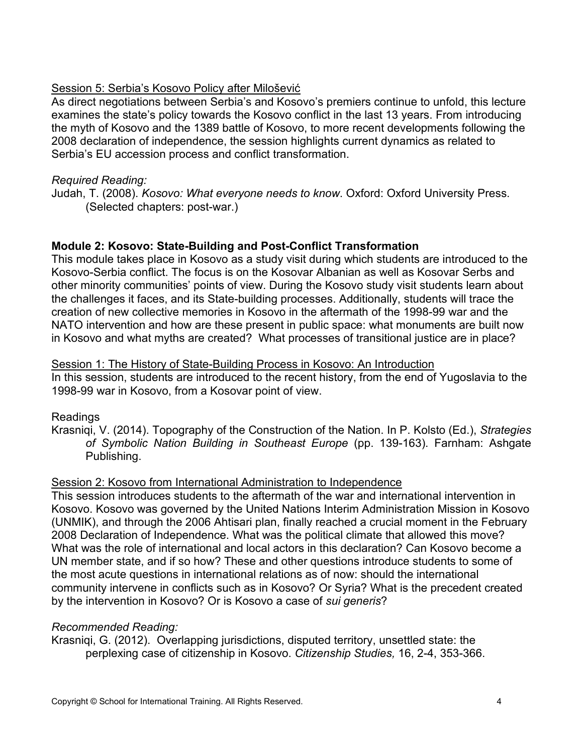# Session 5: Serbia's Kosovo Policy after Milošević

As direct negotiations between Serbia's and Kosovo's premiers continue to unfold, this lecture examines the state's policy towards the Kosovo conflict in the last 13 years. From introducing the myth of Kosovo and the 1389 battle of Kosovo, to more recent developments following the 2008 declaration of independence, the session highlights current dynamics as related to Serbia's EU accession process and conflict transformation.

#### *Required Reading:*

Judah, T. (2008). *Kosovo: What everyone needs to know*. Oxford: Oxford University Press. (Selected chapters: post-war.)

# **Module 2: Kosovo: State-Building and Post-Conflict Transformation**

This module takes place in Kosovo as a study visit during which students are introduced to the Kosovo-Serbia conflict. The focus is on the Kosovar Albanian as well as Kosovar Serbs and other minority communities' points of view. During the Kosovo study visit students learn about the challenges it faces, and its State-building processes. Additionally, students will trace the creation of new collective memories in Kosovo in the aftermath of the 1998-99 war and the NATO intervention and how are these present in public space: what monuments are built now in Kosovo and what myths are created? What processes of transitional justice are in place?

#### Session 1: The History of State-Building Process in Kosovo: An Introduction

In this session, students are introduced to the recent history, from the end of Yugoslavia to the 1998-99 war in Kosovo, from a Kosovar point of view.

# Readings

Krasniqi, V. (2014). Topography of the Construction of the Nation. In P. Kolsto (Ed.), *Strategies of Symbolic Nation Building in Southeast Europe* (pp. 139-163). Farnham: Ashgate Publishing.

# Session 2: Kosovo from International Administration to Independence

This session introduces students to the aftermath of the war and international intervention in Kosovo. Kosovo was governed by the United Nations Interim Administration Mission in Kosovo (UNMIK), and through the 2006 Ahtisari plan, finally reached a crucial moment in the February 2008 Declaration of Independence. What was the political climate that allowed this move? What was the role of international and local actors in this declaration? Can Kosovo become a UN member state, and if so how? These and other questions introduce students to some of the most acute questions in international relations as of now: should the international community intervene in conflicts such as in Kosovo? Or Syria? What is the precedent created by the intervention in Kosovo? Or is Kosovo a case of *sui generis*?

# *Recommended Reading:*

Krasniqi, G. (2012). Overlapping jurisdictions, disputed territory, unsettled state: the perplexing case of citizenship in Kosovo. *Citizenship Studies,* 16, 2-4, 353-366.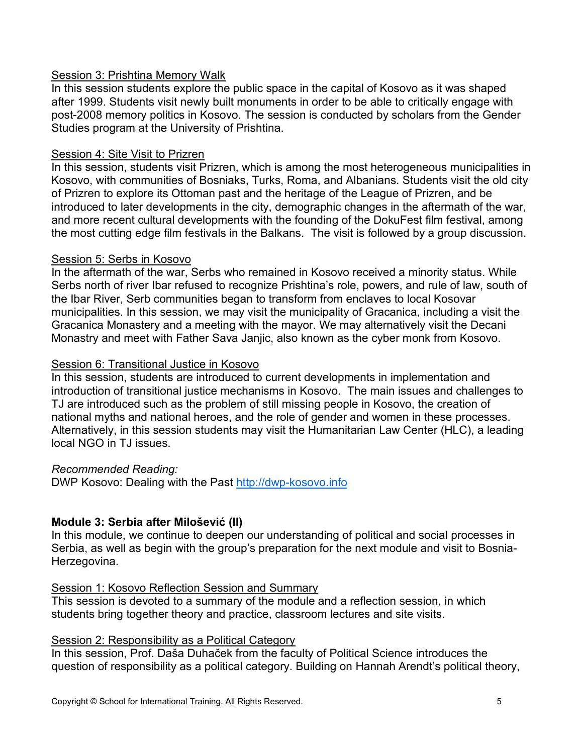# Session 3: Prishtina Memory Walk

In this session students explore the public space in the capital of Kosovo as it was shaped after 1999. Students visit newly built monuments in order to be able to critically engage with post-2008 memory politics in Kosovo. The session is conducted by scholars from the Gender Studies program at the University of Prishtina.

# Session 4: Site Visit to Prizren

In this session, students visit Prizren, which is among the most heterogeneous municipalities in Kosovo, with communities of Bosniaks, Turks, Roma, and Albanians. Students visit the old city of Prizren to explore its Ottoman past and the heritage of the League of Prizren, and be introduced to later developments in the city, demographic changes in the aftermath of the war, and more recent cultural developments with the founding of the DokuFest film festival, among the most cutting edge film festivals in the Balkans. The visit is followed by a group discussion.

# Session 5: Serbs in Kosovo

In the aftermath of the war, Serbs who remained in Kosovo received a minority status. While Serbs north of river Ibar refused to recognize Prishtina's role, powers, and rule of law, south of the Ibar River, Serb communities began to transform from enclaves to local Kosovar municipalities. In this session, we may visit the municipality of Gracanica, including a visit the Gracanica Monastery and a meeting with the mayor. We may alternatively visit the Decani Monastry and meet with Father Sava Janjic, also known as the cyber monk from Kosovo.

# Session 6: Transitional Justice in Kosovo

In this session, students are introduced to current developments in implementation and introduction of transitional justice mechanisms in Kosovo. The main issues and challenges to TJ are introduced such as the problem of still missing people in Kosovo, the creation of national myths and national heroes, and the role of gender and women in these processes. Alternatively, in this session students may visit the Humanitarian Law Center (HLC), a leading local NGO in TJ issues.

# *Recommended Reading:*

DWP Kosovo: Dealing with the Past [http://dwp-kosovo.info](http://dwp-kosovo.info/)

# **Module 3: Serbia after Milošević (II)**

In this module, we continue to deepen our understanding of political and social processes in Serbia, as well as begin with the group's preparation for the next module and visit to Bosnia-Herzegovina.

# Session 1: Kosovo Reflection Session and Summary

This session is devoted to a summary of the module and a reflection session, in which students bring together theory and practice, classroom lectures and site visits.

# Session 2: Responsibility as a Political Category

In this session, Prof. Daša Duhaček from the faculty of Political Science introduces the question of responsibility as a political category. Building on Hannah Arendt's political theory,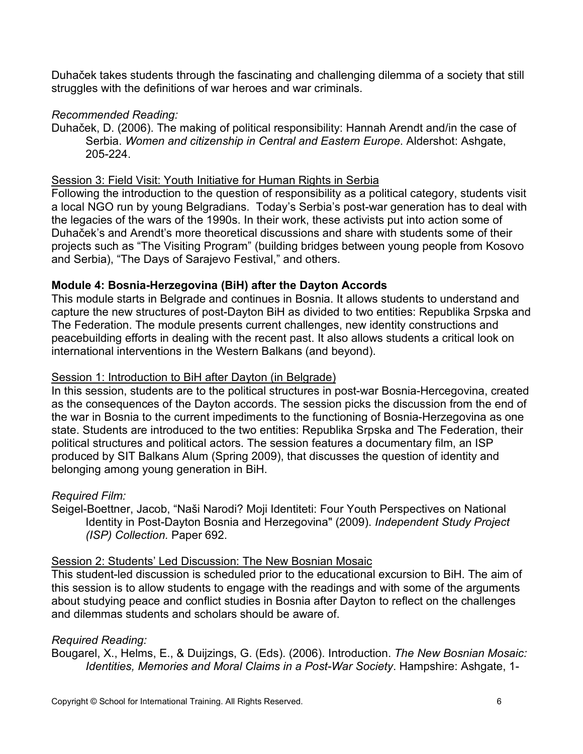Duhaček takes students through the fascinating and challenging dilemma of a society that still struggles with the definitions of war heroes and war criminals.

# *Recommended Reading:*

Duhaček, D. (2006). The making of political responsibility: Hannah Arendt and/in the case of Serbia. *Women and citizenship in Central and Eastern Europe*. Aldershot: Ashgate, 205-224.

#### Session 3: Field Visit: Youth Initiative for Human Rights in Serbia

Following the introduction to the question of responsibility as a political category, students visit a local NGO run by young Belgradians. Today's Serbia's post-war generation has to deal with the legacies of the wars of the 1990s. In their work, these activists put into action some of Duhaček's and Arendt's more theoretical discussions and share with students some of their projects such as "The Visiting Program" (building bridges between young people from Kosovo and Serbia), "The Days of Sarajevo Festival," and others.

# **Module 4: Bosnia-Herzegovina (BiH) after the Dayton Accords**

This module starts in Belgrade and continues in Bosnia. It allows students to understand and capture the new structures of post-Dayton BiH as divided to two entities: Republika Srpska and The Federation. The module presents current challenges, new identity constructions and peacebuilding efforts in dealing with the recent past. It also allows students a critical look on international interventions in the Western Balkans (and beyond).

#### Session 1: Introduction to BiH after Dayton (in Belgrade)

In this session, students are to the political structures in post-war Bosnia-Hercegovina, created as the consequences of the Dayton accords. The session picks the discussion from the end of the war in Bosnia to the current impediments to the functioning of Bosnia-Herzegovina as one state. Students are introduced to the two entities: Republika Srpska and The Federation, their political structures and political actors. The session features a documentary film, an ISP produced by SIT Balkans Alum (Spring 2009), that discusses the question of identity and belonging among young generation in BiH.

# *Required Film:*

Seigel-Boettner, Jacob, "Naši Narodi? Moji Identiteti: Four Youth Perspectives on National Identity in Post-Dayton Bosnia and Herzegovina" (2009). *Independent Study Project (ISP) Collection.* Paper 692.

#### Session 2: Students' Led Discussion: The New Bosnian Mosaic

This student-led discussion is scheduled prior to the educational excursion to BiH. The aim of this session is to allow students to engage with the readings and with some of the arguments about studying peace and conflict studies in Bosnia after Dayton to reflect on the challenges and dilemmas students and scholars should be aware of.

# *Required Reading:*

Bougarel, X., Helms, E., & Duijzings, G. (Eds). (2006). Introduction. *The New Bosnian Mosaic: Identities, Memories and Moral Claims in a Post-War Society*. Hampshire: Ashgate, 1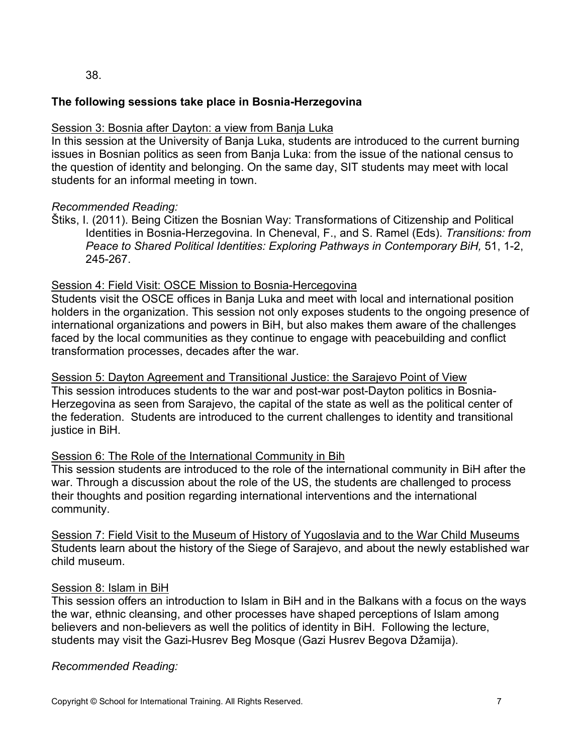38.

# **The following sessions take place in Bosnia-Herzegovina**

# Session 3: Bosnia after Dayton: a view from Banja Luka

In this session at the University of Banja Luka, students are introduced to the current burning issues in Bosnian politics as seen from Banja Luka: from the issue of the national census to the question of identity and belonging. On the same day, SIT students may meet with local students for an informal meeting in town.

# *Recommended Reading:*

Štiks, I. (2011). Being Citizen the Bosnian Way: Transformations of Citizenship and Political Identities in Bosnia-Herzegovina. In Cheneval, F., and S. Ramel (Eds). *Transitions: from Peace to Shared Political Identities: Exploring Pathways in Contemporary BiH,* 51, 1-2, 245-267.

# Session 4: Field Visit: OSCE Mission to Bosnia-Hercegovina

Students visit the OSCE offices in Banja Luka and meet with local and international position holders in the organization. This session not only exposes students to the ongoing presence of international organizations and powers in BiH, but also makes them aware of the challenges faced by the local communities as they continue to engage with peacebuilding and conflict transformation processes, decades after the war.

Session 5: Dayton Agreement and Transitional Justice: the Sarajevo Point of View This session introduces students to the war and post-war post-Dayton politics in Bosnia-Herzegovina as seen from Sarajevo, the capital of the state as well as the political center of the federation. Students are introduced to the current challenges to identity and transitional justice in BiH.

# Session 6: The Role of the International Community in Bih

This session students are introduced to the role of the international community in BiH after the war. Through a discussion about the role of the US, the students are challenged to process their thoughts and position regarding international interventions and the international community.

Session 7: Field Visit to the Museum of History of Yugoslavia and to the War Child Museums Students learn about the history of the Siege of Sarajevo, and about the newly established war child museum.

# Session 8: Islam in BiH

This session offers an introduction to Islam in BiH and in the Balkans with a focus on the ways the war, ethnic cleansing, and other processes have shaped perceptions of Islam among believers and non-believers as well the politics of identity in BiH. Following the lecture, students may visit the Gazi-Husrev Beg Mosque (Gazi Husrev Begova Džamija).

# *Recommended Reading:*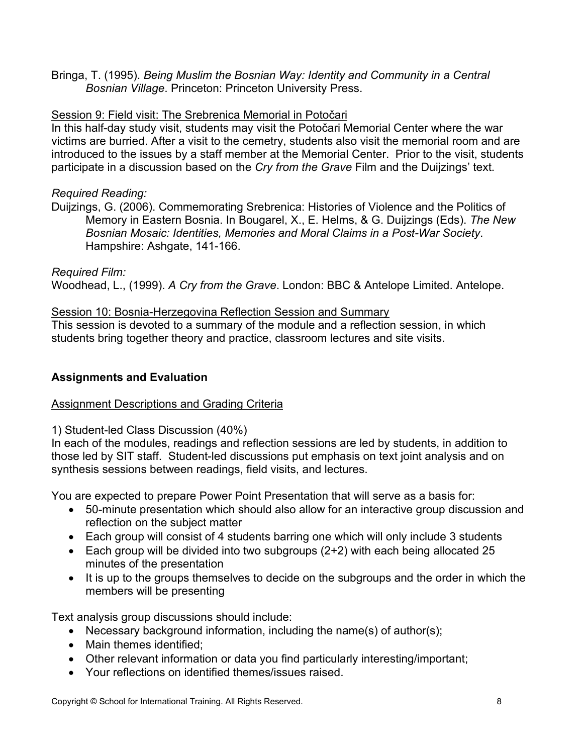Bringa, T. (1995). *Being Muslim the Bosnian Way: Identity and Community in a Central Bosnian Village*. Princeton: Princeton University Press.

# Session 9: Field visit: The Srebrenica Memorial in Potočari

In this half-day study visit, students may visit the Potočari Memorial Center where the war victims are burried. After a visit to the cemetry, students also visit the memorial room and are introduced to the issues by a staff member at the Memorial Center. Prior to the visit, students participate in a discussion based on the *Cry from the Grave* Film and the Duijzings' text.

# *Required Reading:*

Duijzings, G. (2006). Commemorating Srebrenica: Histories of Violence and the Politics of Memory in Eastern Bosnia. In Bougarel, X., E. Helms, & G. Duijzings (Eds). *The New Bosnian Mosaic: Identities, Memories and Moral Claims in a Post-War Society*. Hampshire: Ashgate, 141-166.

# *Required Film:*

Woodhead, L., (1999). *A Cry from the Grave*. London: BBC & Antelope Limited. Antelope.

# Session 10: Bosnia-Herzegovina Reflection Session and Summary

This session is devoted to a summary of the module and a reflection session, in which students bring together theory and practice, classroom lectures and site visits.

# **Assignments and Evaluation**

# Assignment Descriptions and Grading Criteria

# 1) Student-led Class Discussion (40%)

In each of the modules, readings and reflection sessions are led by students, in addition to those led by SIT staff. Student-led discussions put emphasis on text joint analysis and on synthesis sessions between readings, field visits, and lectures.

You are expected to prepare Power Point Presentation that will serve as a basis for:

- 50-minute presentation which should also allow for an interactive group discussion and reflection on the subject matter
- Each group will consist of 4 students barring one which will only include 3 students
- Each group will be divided into two subgroups (2+2) with each being allocated 25 minutes of the presentation
- It is up to the groups themselves to decide on the subgroups and the order in which the members will be presenting

Text analysis group discussions should include:

- Necessary background information, including the name(s) of author(s);
- Main themes identified;
- Other relevant information or data you find particularly interesting/important;
- Your reflections on identified themes/issues raised.

Copyright © School for International Training. All Rights Reserved. 8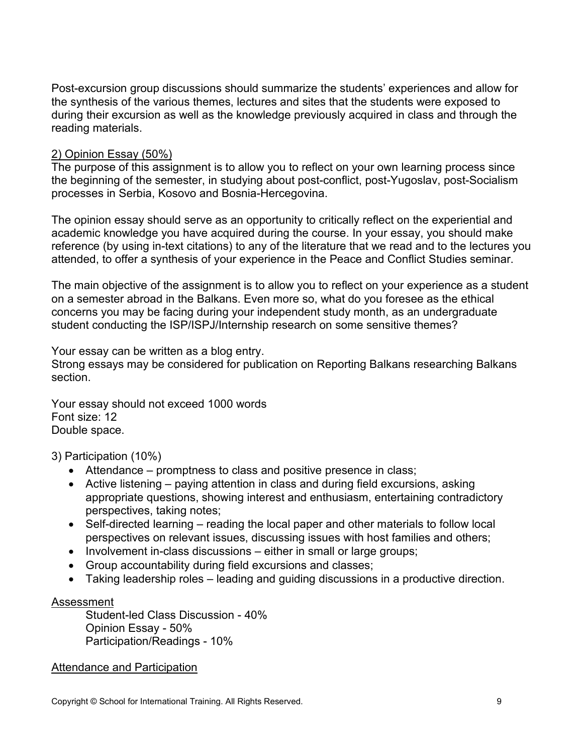Post-excursion group discussions should summarize the students' experiences and allow for the synthesis of the various themes, lectures and sites that the students were exposed to during their excursion as well as the knowledge previously acquired in class and through the reading materials.

# 2) Opinion Essay (50%)

The purpose of this assignment is to allow you to reflect on your own learning process since the beginning of the semester, in studying about post-conflict, post-Yugoslav, post-Socialism processes in Serbia, Kosovo and Bosnia-Hercegovina.

The opinion essay should serve as an opportunity to critically reflect on the experiential and academic knowledge you have acquired during the course. In your essay, you should make reference (by using in-text citations) to any of the literature that we read and to the lectures you attended, to offer a synthesis of your experience in the Peace and Conflict Studies seminar.

The main objective of the assignment is to allow you to reflect on your experience as a student on a semester abroad in the Balkans. Even more so, what do you foresee as the ethical concerns you may be facing during your independent study month, as an undergraduate student conducting the ISP/ISPJ/Internship research on some sensitive themes?

Your essay can be written as a blog entry.

Strong essays may be considered for publication on Reporting Balkans researching Balkans section.

Your essay should not exceed 1000 words Font size: 12 Double space.

3) Participation (10%)

- Attendance promptness to class and positive presence in class;
- Active listening paying attention in class and during field excursions, asking appropriate questions, showing interest and enthusiasm, entertaining contradictory perspectives, taking notes;
- Self-directed learning reading the local paper and other materials to follow local perspectives on relevant issues, discussing issues with host families and others;
- Involvement in-class discussions either in small or large groups;
- Group accountability during field excursions and classes;
- Taking leadership roles leading and guiding discussions in a productive direction.

# Assessment

Student-led Class Discussion - 40% Opinion Essay - 50% Participation/Readings - 10%

# Attendance and Participation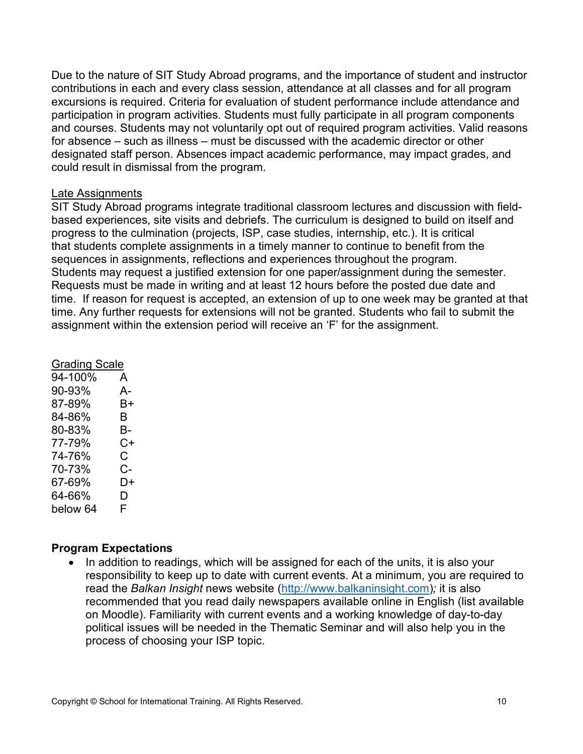Due to the nature of SIT Study Abroad programs, and the importance of student and instructor contributions in each and every class session, attendance at all classes and for all program excursions is required. Criteria for evaluation of student performance include attendance and participation in program activities. Students must fully participate in all program components and courses. Students may not voluntarily opt out of required program activities. Valid reasons for absence – such as illness – must be discussed with the academic director or other designated staff person. Absences impact academic performance, may impact grades, and could result in dismissal from the program.

#### Late Assignments

SIT Study Abroad programs integrate traditional classroom lectures and discussion with fieldbased experiences, site visits and debriefs. The curriculum is designed to build on itself and progress to the culmination (projects, ISP, case studies, internship, etc.). It is critical that students complete assignments in a timely manner to continue to benefit from the sequences in assignments, reflections and experiences throughout the program. Students may request a justified extension for one paper/assignment during the semester. Requests must be made in writing and at least 12 hours before the posted due date and time. If reason for request is accepted, an extension of up to one week may be granted at that time. Any further requests for extensions will not be granted. Students who fail to submit the assignment within the extension period will receive an 'F' for the assignment.

| <b>Grading Scale</b> |  |
|----------------------|--|
| A                    |  |
| А-                   |  |
| B+                   |  |
| В                    |  |
| В-                   |  |
| C+                   |  |
| С                    |  |
| C-                   |  |
| D+                   |  |
| D                    |  |
| F                    |  |
|                      |  |

# **Program Expectations**

• In addition to readings, which will be assigned for each of the units, it is also your responsibility to keep up to date with current events. At a minimum, you are required to read the *Balkan Insight* news website [\(http://www.balkaninsight.com\)](http://www.balkaninsight.com/)*;* it is also recommended that you read daily newspapers available online in English (list available on Moodle). Familiarity with current events and a working knowledge of day-to-day political issues will be needed in the Thematic Seminar and will also help you in the process of choosing your ISP topic.